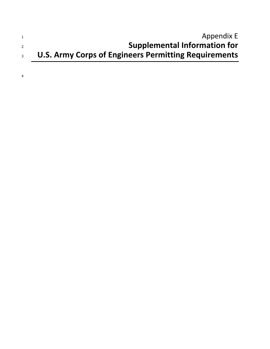|                | Appendix E                                           |
|----------------|------------------------------------------------------|
|                | <b>Supplemental Information for</b>                  |
| 3 <sup>1</sup> | U.S. Army Corps of Engineers Permitting Requirements |
|                |                                                      |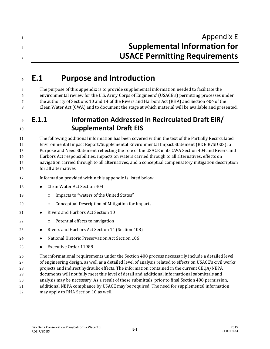| Appendix E                           |
|--------------------------------------|
| <b>Supplemental Information for</b>  |
| <b>USACE Permitting Requirements</b> |

# **E.1 Purpose and Introduction**

 The purpose of this appendix is to provide supplemental information needed to facilitate the environmental review for the U.S. Army Corps of Engineers' (USACE's) permitting processes under the authority of Sections 10 and 14 of the Rivers and Harbors Act (RHA) and Section 404 of the Clean Water Act (CWA) and to document the stage at which material will be available and presented.

# **E.1.1 Information Addressed in Recirculated Draft EIR/ Supplemental Draft EIS**

 The following additional information has been covered within the text of the Partially Recirculated Environmental Impact Report/Supplemental Environmental Impact Statement (RDEIR/SDEIS): a Purpose and Need Statement reflecting the role of the USACE in its CWA Section 404 and Rivers and Harbors Act responsibilities; impacts on waters carried through to all alternatives; effects on navigation carried through to all alternatives; and a conceptual compensatory mitigation description for all alternatives.

- Information provided within this appendix is listed below:
- **Clean Water Act Section 404**
- 19 o Impacts to "waters of the United States"
- Conceptual Description of Mitigation for Impacts
- 21 Rivers and Harbors Act Section 10
- Potential effects to navigation
- **•** Rivers and Harbors Act Section 14 (Section 408)
- National Historic Preservation Act Section 106
- Executive Order 11988

 The informational requirements under the Section 408 process necessarily include a detailed level of engineering design, as well as a detailed level of analysis related to effects on USACE's civil works projects and indirect hydraulic effects. The information contained in the current CEQA/NEPA documents will not fully meet this level of detail and additional informational submittals and analysis may be necessary. As a result of these submittals, prior to final Section 408 permission, additional NEPA compliance by USACE may be required. The need for supplemental information may apply to RHA Section 10 as well.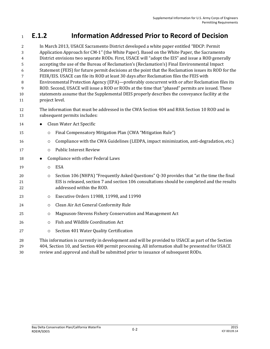# **E.1.2 Information Addressed Prior to Record of Decision**

 In March 2013, USACE Sacramento District developed a white paper entitled "BDCP: Permit Application Approach for CM-1" (the White Paper). Based on the White Paper, the Sacramento District envisions two separate RODs. First, USACE will "adopt the EIS" and issue a ROD generally accepting the use of the Bureau of Reclamation's (Reclamation's) Final Environmental Impact Statement (FEIS) for future permit decisions at the point that the Reclamation issues its ROD for the FEIR/EIS. USACE can file its ROD at least 30 days after Reclamation files the FEIS with Environmental Protection Agency (EPA)—preferably concurrent with or after Reclamation files its ROD. Second, USACE will issue a ROD or RODs at the time that "phased" permits are issued. These statements assume that the Supplemental DEIS properly describes the conveyance facility at the project level. The information that must be addressed in the CWA Section 404 and RHA Section 10 ROD and in subsequent permits includes: **•** Clean Water Act Specific Final Compensatory Mitigation Plan (CWA "Mitigation Rule") Compliance with the CWA Guidelines (LEDPA, impact minimization, anti-degradation, etc.) Public Interest Review 18 • Compliance with other Federal Laws 19 O ESA Section 106 (NHPA) "Frequently Asked Questions" Q-30 provides that "at the time the final EIS is released, section 7 and section 106 consultations should be completed and the results addressed within the ROD. Executive Orders 11988, 11998, and 11990 **Clean Air Act General Conformity Rule Magnuson-Stevens Fishery Conservation and Management Act**  Fish and Wildlife Coordination Act **Section 401 Water Quality Certification** 

This information is currently in development and will be provided to USACE as part of the Section

404, Section 10, and Section 408 permit processing. All information shall be presented for USACE

review and approval and shall be submitted prior to issuance of subsequent RODs.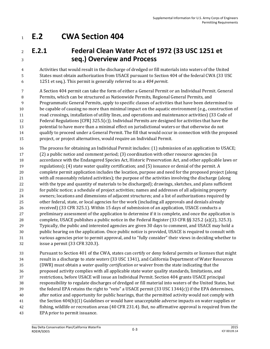# **E.2 CWA Section 404**

# **E.2.1 Federal Clean Water Act of 1972 (33 USC 1251 et seq.) Overview and Process**

 Activities that would result in the discharge of dredged or fill materials into waters of the United States must obtain authorization from USACE pursuant to Section 404 of the federal CWA (33 USC 1251 et seq.). This permit is generally referred to as a *404 permit*.

 A Section 404 permit can take the form of either a General Permit or an Individual Permit. General Permits, which can be structured as Nationwide Permits, Regional General Permits, and Programmatic General Permits, apply to specific classes of activities that have been determined to be capable of causing no more than minimal impact on the aquatic environment (e.g., construction of road crossings, installation of utility lines, and operations and maintenance activities) (33 Code of Federal Regulations [CFR] 325.5(c)). Individual Permits are designed for activities that have the potential to have more than a minimal effect on jurisdictional waters or that otherwise do not qualify to proceed under a General Permit. The fill that would occur in connection with the proposed project, or project alternatives, would require an Individual Permit.

 The process for obtaining an Individual Permit includes: (1) submission of an application to USACE; (2) a public notice and comment period; (3) coordination with other resource agencies (in accordance with the Endangered Species Act, Historic Preservation Act, and other applicable laws or regulations); (4) state water quality certification; and (5) issuance or denial of the permit. A complete permit application includes the location, purpose and need for the proposed project (along with all reasonably related activities); the purpose of the activities involving the discharge (along with the type and quantity of materials to be discharged); drawings, sketches, and plans sufficient for public notice; a schedule of project activities; names and addresses of all adjoining property owners; locations and dimensions of adjacent structures; and a list of authorizations required by other federal, state, or local agencies for the work (including all approvals and denials already received) (33 CFR 325.1). Within 15 days of submission of an application, USACE conducts a preliminary assessment of the application to determine if it is complete, and once the application is complete, USACE publishes a public notice in the Federal Register (33 CFR §§ 325.2 (a)(2), 325.3). Typically, the public and interested agencies are given 30 days to comment, and USACE may hold a public hearing on the application. Once public notice is provided, USACE is required to consult with various agencies prior to permit approval, and to "fully consider" their views in deciding whether to issue a permit (33 CFR 320.3).

 Pursuant to Section 401 of the CWA, states can certify or deny federal permits or licenses that might result in a discharge to *state waters* (33 USC 1341), and California Department of Water Resources (DWR) must obtain a *water quality certification* or waiver from the state indicating that the proposed activity complies with all applicable state water quality standards, limitations, and restrictions, before USACE will issue an Individual Permit. Section 404 grants USACE principal responsibility to regulate discharges of dredged or fill material into waters of the United States, but the federal EPA retains the right to "veto" a USACE permit (33 USC 1344(c)) if the EPA determines, after notice and opportunity for public hearings, that the permitted activity would not comply with the Section 404(b)(1) Guidelines or would have unacceptable adverse impacts on water supplies or fishing, wildlife or recreation areas (40 CFR 231.4). But, no affirmative approval is required from the EPA prior to permit issuance.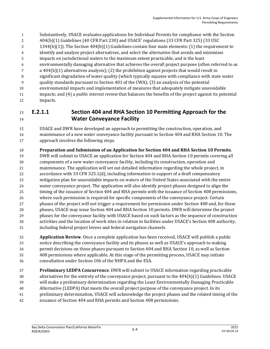- Substantively, USACE evaluates applications for Individual Permits for compliance with the Section 404(b)(1) Guidelines (40 CFR Part 230) and USACE' regulations (33 CFR Part 325) (33 USC 1344(b)(1)). The Section 404(b)(1) Guidelines contain four main elements: (1) the requirement to identify and analyze project alternatives, and select the alternative that avoids and minimizes impacts on jurisdictional waters to the maximum extent practicable, and is the least environmentally damaging alternative that achieves the overall project purpose (often referred to as a 404(b)(1) alternatives analysis); (2) the prohibition against projects that would result in significant degradation of water quality (which typically equates with compliance with state water quality standards pursuant to Section 401 of the CWA); (3) an analysis of the potential environmental impacts and implementation of measures that adequately mitigate unavoidable impacts; and (4) a *public interest review* that balances the benefits of the project against its potential
- impacts.

### **E.2.1.1 Section 404 and RHA Section 10 Permitting Approach for the Water Conveyance Facility**

 USACE and DWR have developed an approach to permitting the construction, operation, and maintenance of a new water conveyance facility pursuant to Section 404 and RHA Section 10. The approach involves the following steps.

**Preparation and Submission of an Application for Section 404 and RHA Section 10 Permits**.

 DWR will submit to USACE an application for Section 404 and RHA Section 10 permits covering all components of a new water conveyance facility, including its construction, operation and maintenance. The application will set out detailed information regarding the whole project, in accordance with 33 CFR 325.1(d), including information in support of a draft compensatory mitigation plan for unavoidable impacts on waters of the United States associated with the entire water conveyance project. The application will also identify project phases designed to align the timing of the issuance of Section 404 and RHA permits with the issuance of Section 408 permissions, where such permission is required for specific components of the conveyance project. Certain phases of the project will not trigger a requirement for permission under Section 408 and, for those phases, USACE may issue Section 404 and RHA Section 10 permits. DWR will determine the project phases for the conveyance facility with USACE based on such factors as the sequence of construction activities and the location of work sites in relation to facilities under USACE's Section 408 authority, including federal project levees and federal navigation channels.

 **Application Review**. Once a complete application has been received, USACE will publish a public notice describing the conveyance facility and its phases as well as USACE's approach to making permit decisions on those phases pursuant to Section 404 and RHA Section 10, as well as Section 408 permissions where applicable. At this stage of the permitting process, USACE may initiate consultation under Section 106 of the NHPA and the ESA.

 **Preliminary LEDPA Concurrence**. DWR will submit to USACE information regarding practicable alternatives for the entirety of the conveyance project, pursuant to the 404(b)(1) Guidelines. USACE will make a preliminary determination regarding the Least Environmentally Damaging Practicable Alternative (LEDPA) that meets the overall project purpose of the conveyance project. In its preliminary determination, USACE will acknowledge the project phases and the related timing of the issuance of Section 404 and RHA permits and Section 408 permissions.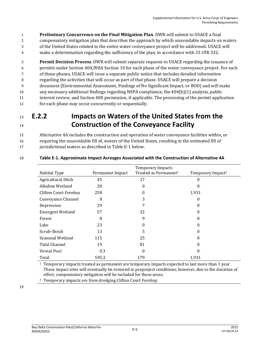1 **Preliminary Concurrence on the Final Mitigation Plan**. DWR will submit to USACE a final 2 compensatory mitigation plan that describes the approach by which unavoidable impacts on waters

- 3 of the United States related to the entire water conveyance project will be addressed. USACE will
- 4 make a determination regarding the sufficiency of the plan, in accordance with 33 CFR 332.

 **Permit Decision Process**. DWR will submit separate requests to USACE regarding the issuance of permits under Section 404/RHA Section 10 for each phase of the water conveyance project. For each of those phases, USACE will issue a separate public notice that includes detailed information regarding the activities that will occur as part of that phase. USACE will prepare a decision document (Environmental Assessment, Findings of No Significant Impact, or ROD) and will make any necessary additional findings regarding NEPA compliance, the 404(b)(1) analysis, public interest review, and Section 408 permission, if applicable. The processing of the permit application for each phase may occur concurrently or sequentially.

## <sup>13</sup> **E.2.2 Impacts on Waters of the United States from the**  <sup>14</sup> **Construction of the Conveyance Facility**

15 Alternative 4A includes the construction and operation of water conveyance facilities within, or 16 requiring the unavoidable fill of, waters of the United States, resulting in the estimated fill of 17 jurisdictional waters as described in Table E-1 below.

| Habitat Type                 | Permanent Impact | <b>Temporary Impacts</b><br>Treated as Permanent <sup>1</sup> | Temporary Impact <sup>2</sup> |
|------------------------------|------------------|---------------------------------------------------------------|-------------------------------|
| Agricultural Ditch           | 45               | 17                                                            | 0                             |
| Alkaline Wetland             | 20               | $\theta$                                                      | 0                             |
| <b>Clifton Court Forebay</b> | 258              | 0                                                             | 1,931                         |
| Conveyance Channel           | 8                | 3                                                             | 0                             |
| Depression                   | 29               |                                                               | 0                             |
| <b>Emergent Wetland</b>      | 57               | 32                                                            | $\theta$                      |
| Forest                       | 8                | 9                                                             | 0                             |
| Lake                         | 23               | 0                                                             | 0                             |
| Scrub-Shrub                  | 13               | 5                                                             |                               |
| Seasonal Wetland             | 115              | 25                                                            | $\left( \right)$              |
| <b>Tidal Channel</b>         | 19               | 81                                                            | 0                             |
| Vernal Pool                  | 0.3              | $\bf{0}$                                                      | 0                             |
| Total                        | 595.3            | 179                                                           | 1,931                         |

#### 18 **Table E-1. Approximate Impact Acreages Associated with the Construction of Alternative 4A**

 $1$  Temporary impacts treated as permanent are temporary impacts expected to last more than 1 year. These impact sites will eventually be restored to preproject conditions; however, due to the duration of effect, compensatory mitigation will be included for these areas.

<sup>2</sup> Temporary impacts are from dredging Clifton Court Forebay.

19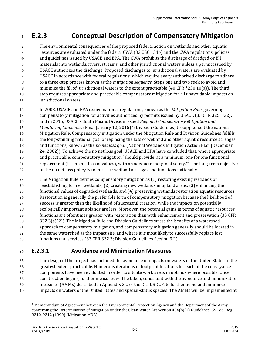# **E.2.3 Conceptual Description of Compensatory Mitigation**

 The environmental consequences of the proposed federal action on wetlands and other aquatic resources are evaluated under the federal CWA (33 USC 1344) and the CWA regulations, policies and guidelines issued by USACE and EPA. The CWA prohibits the discharge of dredged or fill materials into wetlands, rivers, streams, and other jurisdictional waters unless a permit issued by USACE authorizes the discharge. Proposed discharges to jurisdictional waters are evaluated by USACE in accordance with federal regulations, which require every authorized discharge to adhere to a three-step process known as the *mitigation sequence*. Steps one and two seek to avoid and minimize the fill of jurisdictional waters to the extent practicable (40 CFR §230.10(a)). The third step requires appropriate and practicable compensatory mitigation for all unavoidable impacts on 11 jurisdictional waters.

- In 2008, USACE and EPA issued national regulations, known as the *Mitigation Rule*, governing
- compensatory mitigation for activities authorized by permits issued by USACE (33 CFR 325, 332),
- and in 2015, USACE's South Pacific Division issued *Regional Compensatory Mitigation and*
- *Monitoring Guidelines* (Final January 12, 2015)" (Division Guidelines) to supplement the national
- Mitigation Rule. Compensatory mitigation under the Mitigation Rule and Division Guidelines fulfills
- the long-standing national goal of replacing the loss of wetland and other aquatic resource acreages
- and functions, known as the *no net loss goal* (National Wetlands Mitigation Action Plan [December 24, 2002]). To achieve the no net loss goal, USACE and EPA have concluded that, where appropriate and practicable, compensatory mitigation "should provide, at a minimum, one for one functional
- 21  $\qquad$  replacement (i.e., no net loss of values), with an adequate margin of safety." The long-term objective of the no net loss policy is to increase wetland acreages and functions nationally.
- The Mitigation Rule defines compensatory mitigation as (1) restoring existing wetlands or reestablishing former wetlands; (2) creating new wetlands in upland areas; (3) enhancing the functional values of degraded wetlands; and (4) preserving wetlands restoration aquatic resources. Restoration is generally the preferable form of compensatory mitigation because the likelihood of success is greater than the likelihood of successful creation, while the impacts on potentially ecologically important uplands are less. Moreover, the potential gains in terms of aquatic resources functions are oftentimes greater with restoration than with enhancement and preservation (33 CFR 332.3(a)(2)). The Mitigation Rule and Division Guidelines stress the benefits of a watershed approach to compensatory mitigation, and compensatory mitigation generally should be located in the same watershed as the impact site, and where it is most likely to successfully replace lost
- functions and services (33 CFR 332.3; Division Guidelines Section 3.2).

## **E.2.3.1 Avoidance and Minimization Measures**

 The design of the project has included the avoidance of impacts on waters of the United States to the greatest extent practicable. Numerous iterations of footprint locations for each of the conveyance components have been evaluated in order to situate work areas in uplands where possible. Once construction begins, further measures will be taken, consistent with the avoidance and minimization measures (AMMs) described in Appendix 3.C of the Draft BDCP, to further avoid and minimize impacts on waters of the United States and special-status species. The AMMs will be implemented at

 $\overline{\phantom{0}}$ 

 Memorandum of Agreement between the Environmental Protection Agency and the Department of the Army concerning the Determination of Mitigation under the Clean Water Act Section 404(b)(1) Guidelines, 55 Fed. Reg. 9210, 9212 (1990) (Mitigation MOA).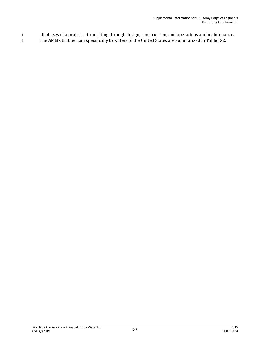- 1 all phases of a project—from siting through design, construction, and operations and maintenance.
- 2 The AMMs that pertain specifically to waters of the United States are summarized in Table E-2.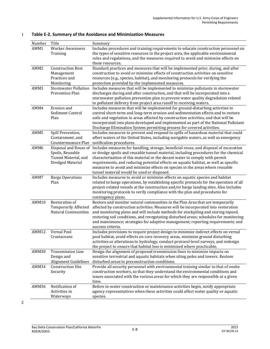| Number           | Title                       | Summary                                                                                          |  |
|------------------|-----------------------------|--------------------------------------------------------------------------------------------------|--|
| AMM1             | <b>Worker Awareness</b>     | Includes procedures and training requirements to educate construction personnel on               |  |
|                  | Training                    | the types of sensitive resources in the project area, the applicable environmental               |  |
|                  |                             | rules and regulations, and the measures required to avoid and minimize effects on                |  |
|                  |                             | these resources.                                                                                 |  |
| AMM <sub>2</sub> | <b>Construction Best</b>    | Standard practices and measures that will be implemented prior, during, and after                |  |
|                  | Management                  | construction to avoid or minimize effects of construction activities on sensitive                |  |
|                  | Practices and               | resources (e.g., species, habitat), and monitoring protocols for verifying the                   |  |
|                  | Monitoring                  | protection provided by the implemented measures.                                                 |  |
| AMM3             | <b>Stormwater Pollution</b> | Includes measures that will be implemented to minimize pollutants in stormwater                  |  |
|                  | <b>Prevention Plan</b>      | discharges during and after construction, and that will be incorporated into a                   |  |
|                  |                             | stormwater pollution prevention plan to prevent water quality degradation related                |  |
|                  |                             | to pollutant delivery from project area runoff to receiving waters.                              |  |
| AMM4             | Erosion and                 | Includes measures that will be implemented for ground-disturbing activities to                   |  |
|                  | Sediment Control            | control short-term and long-term erosion and sedimentation effects and to restore                |  |
|                  | Plan                        | soils and vegetation in areas affected by construction activities, and that will be              |  |
|                  |                             | incorporated into plans developed and implemented as part of the National Pollutant              |  |
|                  |                             | Discharge Elimination System permitting process for covered activities.                          |  |
| AMM5             | Spill Prevention,           | Includes measures to prevent and respond to spills of hazardous material that could              |  |
|                  | Containment, and            | affect waters of the United States, including navigable waters, as well as emergency             |  |
|                  | Countermeasure Plan         | notification procedures.                                                                         |  |
| AMM6             | Disposal and Reuse of       | Includes measures for handling, storage, beneficial reuse, and disposal of excavation            |  |
|                  | Spoils, Reusable            | or dredge spoils and reusable tunnel material, including procedures for the chemical             |  |
|                  | Tunnel Material, and        | characterization of this material or the decant water to comply with permit                      |  |
|                  | Dredged Material            | requirements, and reducing potential effects on aquatic habitat, as well as specific             |  |
|                  |                             | measures to avoid and minimize effects on species in the areas where reusable                    |  |
|                  |                             | tunnel material would be used or disposed.                                                       |  |
| AMM7             | <b>Barge Operations</b>     | Includes measures to avoid or minimize effects on aquatic species and habitat                    |  |
|                  | Plan                        | related to barge operations, by establishing specific protocols for the operation of all         |  |
|                  |                             | project-related vessels at the construction and/or barge landing sites. Also includes            |  |
|                  |                             | monitoring protocols to verify compliance with the plan and procedures for<br>contingency plans. |  |
| AMM10            | Restoration of              | Restore and monitor natural communities in the Plan Area that are temporarily                    |  |
|                  | <b>Temporarily Affected</b> | affected by construction activities. Measures will be incorporated into restoration              |  |
|                  | <b>Natural Communities</b>  | and monitoring plans and will include methods for stockpiling and storing topsoil,               |  |
|                  |                             | restoring soil conditions, and revegetating disturbed areas; schedules for monitoring            |  |
|                  |                             | and maintenance; strategies for adaptive management; reporting requirements; and                 |  |
|                  |                             | success criteria.                                                                                |  |
| AMM12            | <b>Vernal Pool</b>          | Includes provisions to require project design to minimize indirect effects on vernal             |  |
|                  | Crustaceans                 | pool habitat, avoid effects on core recovery areas, minimize ground disturbing                   |  |
|                  |                             | activities or alterations to hydrology, conduct protocol-level surveys, and redesign             |  |
|                  |                             | the project to ensure that habitat loss is minimized where practicable.                          |  |
| AMM30            | <b>Transmission Line</b>    | Design the alignment of proposed transmission lines to minimize impacts on                       |  |
|                  | Design and                  | sensitive terrestrial and aquatic habitats when siting poles and towers. Restore                 |  |
|                  | Alignment Guidelines        | disturbed areas to preconstruction conditions.                                                   |  |
| AMM34            | <b>Construction Site</b>    | Provide all security personnel with environmental training similar to that of onsite             |  |
|                  | Security                    | construction workers, so that they understand the environmental conditions and                   |  |
|                  |                             | issues associated with the various areas for which they are responsible at a given               |  |
|                  |                             | time.                                                                                            |  |
| AMM36            | Notification of             | Before in-water construction or maintenance activities begin, notify appropriate                 |  |
|                  | Activities in               | agency representatives when these activities could affect water quality or aquatic               |  |
|                  | Waterways                   | species.                                                                                         |  |

#### 1 **Table E-2. Summary of the Avoidance and Minimization Measures**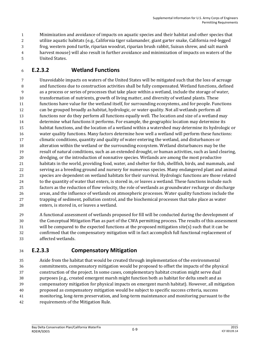Minimization and avoidance of impacts on aquatic species and their habitat and other species that utilize aquatic habitats (e.g., California tiger salamander, giant garter snake, California red-legged frog, western pond turtle, riparian woodrat, riparian brush rabbit, Suisun shrew, and salt marsh harvest mouse) will also result in further avoidance and minimization of impacts on waters of the United States.

## **E.2.3.2 Wetland Functions**

 Unavoidable impacts on waters of the United States will be mitigated such that the loss of acreage and functions due to construction activities shall be fully compensated. Wetland functions, defined as a process or series of processes that take place within a wetland, include the storage of water, transformation of nutrients, growth of living matter, and diversity of wetland plants. These functions have value for the wetland itself, for surrounding ecosystems, and for people. Functions can be grouped broadly as habitat, hydrologic, or water quality. Not all wetlands perform all functions nor do they perform all functions equally well. The location and size of a wetland may determine what functions it performs. For example, the geographic location may determine its habitat functions, and the location of a wetland within a watershed may determine its hydrologic or water quality functions. Many factors determine how well a wetland will perform these functions: climatic conditions, quantity and quality of water entering the wetland, and disturbances or alteration within the wetland or the surrounding ecosystem. Wetland disturbances may be the result of natural conditions, such as an extended drought, or human activities, such as land clearing, dredging, or the introduction of nonnative species. Wetlands are among the most productive habitats in the world, providing food, water, and shelter for fish, shellfish, birds, and mammals, and serving as a breeding ground and nursery for numerous species. Many endangered plant and animal species are dependent on wetland habitats for their survival. Hydrologic functions are those related to the quantity of water that enters, is stored in, or leaves a wetland. These functions include such factors as the reduction of flow velocity, the role of wetlands as groundwater recharge or discharge areas, and the influence of wetlands on atmospheric processes. Water quality functions include the trapping of sediment, pollution control, and the biochemical processes that take place as water enters, is stored in, or leaves a wetland.

 A functional assessment of wetlands proposed for fill will be conducted during the development of the Conceptual Mitigation Plan as part of the CWA permitting process. The results of this assessment will be compared to the expected functions at the proposed mitigation site(s) such that it can be confirmed that the compensatory mitigation will in fact accomplish full functional replacement of affected wetlands.

### **E.2.3.3 Compensatory Mitigation**

 Aside from the habitat that would be created through implementation of the environmental commitments, compensatory mitigation would be proposed to offset the impacts of the physical construction of the project. In some cases, complementary habitat creation might serve dual purposes (e.g., created emergent marsh might function both as habitat for delta smelt and as compensatory mitigation for physical impacts on emergent marsh habitat). However, all mitigation proposed as compensatory mitigation would be subject to specific success criteria, success monitoring, long-term preservation, and long-term maintenance and monitoring pursuant to the requirements of the Mitigation Rule.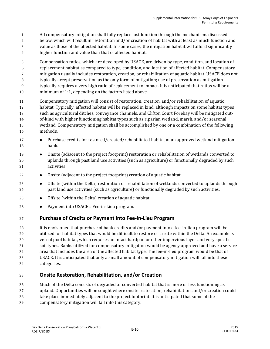- All compensatory mitigation shall fully replace lost function through the mechanisms discussed
- below, which will result in restoration and/or creation of habitat with at least as much function and
- value as those of the affected habitat. In some cases, the mitigation habitat will afford significantly
- higher function and value than that of affected habitat.

 Compensation ratios, which are developed by USACE, are driven by type, condition, and location of replacement habitat as compared to type, condition, and location of affected habitat. Compensatory mitigation usually includes restoration, creation, or rehabilitation of aquatic habitat. USACE does not typically accept preservation as the only form of mitigation; use of preservation as mitigation

- typically requires a very high ratio of replacement to impact. It is anticipated that ratios will be a minimum of 1:1, depending on the factors listed above.
- Compensatory mitigation will consist of restoration, creation, and/or rehabilitation of aquatic habitat. Typically, affected habitat will be replaced in kind, although impacts on some habitat types such as agricultural ditches, conveyance channels, and Clifton Court Forebay will be mitigated out- of-kind with higher functioning habitat types such as riparian wetland, marsh, and/or seasonal wetland. Compensatory mitigation shall be accomplished by one or a combination of the following methods.
- **•** Purchase credits for restored/created/rehabilitated habitat at an approved wetland mitigation bank.
- Onsite (adjacent to the project footprint) restoration or rehabilitation of wetlands converted to uplands through past land use activities (such as agriculture) or functionally degraded by such activities.
- **•** Onsite (adjacent to the project footprint) creation of aquatic habitat.
- **••** Offsite (within the Delta) restoration or rehabilitation of wetlands converted to uplands through past land use activities (such as agriculture) or functionally degraded by such activities.
- Offsite (within the Delta) creation of aquatic habitat.
- Payment into USACE's Fee-in-Lieu program.

#### **Purchase of Credits or Payment into Fee-in-Lieu Program**

 It is envisioned that purchase of bank credits and/or payment into a fee-in-lieu program will be utilized for habitat types that would be difficult to restore or create within the Delta. An example is vernal pool habitat, which requires an intact hardpan or other impervious layer and very specific soil types. Banks utilized for compensatory mitigation would be agency approved and have a service area that includes the area of the affected habitat type. The fee-in-lieu program would be that of USACE. It is anticipated that only a small amount of compensatory mitigation will fall into these categories.

#### **Onsite Restoration, Rehabilitation, and/or Creation**

- Much of the Delta consists of degraded or converted habitat that is more or less functioning as
- upland. Opportunities will be sought where onsite restoration, rehabilitation, and/or creation could
- take place immediately adjacent to the project footprint. It is anticipated that some of the
- compensatory mitigation will fall into this category.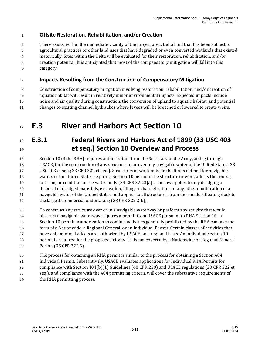### **Offsite Restoration, Rehabilitation, and/or Creation**

 There exists, within the immediate vicinity of the project area, Delta land that has been subject to agricultural practices or other land uses that have degraded or even converted wetlands that existed historically. Sites within the Delta will be evaluated for their restoration, rehabilitation, and/or creation potential. It is anticipated that most of the compensatory mitigation will fall into this category.

#### **Impacts Resulting from the Construction of Compensatory Mitigation**

 Construction of compensatory mitigation involving restoration, rehabilitation, and/or creation of aquatic habitat will result in relatively minor environmental impacts. Expected impacts include noise and air quality during construction, the conversion of upland to aquatic habitat, and potential changes to existing channel hydraulics where levees will be breeched or lowered to create weirs.

# **E.3 River and Harbors Act Section 10**

## **E.3.1 Federal Rivers and Harbors Act of 1899 (33 USC 403 et seq.) Section 10 Overview and Process**

 Section 10 of the RHA) requires authorization from the Secretary of the Army, acting through USACE, for the construction of any structure in or over any navigable water of the United States (33 USC 403 et seq.; 33 CFR 322 et seq.). Structures or work outside the limits defined for navigable waters of the United States require a Section 10 permit if the structure or work affects the course, location, or condition of the water body (33 CFR 322.3[a]). The law applies to any dredging or disposal of dredged materials, excavation, filling, rechannelization, or any other modification of a navigable water of the United States, and applies to all structures, from the smallest floating dock to the largest commercial undertaking (33 CFR 322.2[b]).

 To construct any structure over or in a navigable waterway or perform any activity that would obstruct a navigable waterway requires a permit from USACE pursuant to RHA Section 10—a Section 10 permit. Authorization to conduct activities generally prohibited by the RHA can take the form of a Nationwide, a Regional General, or an Individual Permit. Certain classes of activities that have only minimal effects are authorized by USACE on a regional basis. An individual Section 10 permit is required for the proposed activity if it is not covered by a Nationwide or Regional General Permit (33 CFR 322.3).

 The process for obtaining an RHA permit is similar to the process for obtaining a Section 404 Individual Permit. Substantively, USACE evaluates applications for Individual RHA Permits for compliance with Section 404(b)(1) Guidelines (40 CFR 230) and USACE regulations (33 CFR 322 et seq.), and compliance with the 404 permitting criteria will cover the substantive requirements of the RHA permitting process.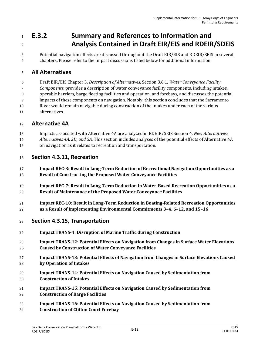# **E.3.2 Summary and References to Information and Analysis Contained in Draft EIR/EIS and RDEIR/SDEIS**

 Potential navigation effects are discussed throughout the Draft EIR/EIS and RDEIR/SEIS in several chapters. Please refer to the impact discussions listed below for additional information.

### **All Alternatives**

Draft EIR/EIS Chapter 3, *Description of Alternatives*, Section 3.6.1, *Water Conveyance Facility* 

*Components*, provides a description of water conveyance facility components, including intakes,

operable barriers, barge fleeting facilities and operation, and forebays, and discusses the potential

impacts of these components on navigation. Notably, this section concludes that the Sacramento

- River would remain navigable during construction of the intakes under each of the various
- alternatives.

### **Alternative 4A**

- Impacts associated with Alternative 4A are analyzed in RDEIR/SEIS Section 4, *New Alternatives:*
- *Alternatives 4A, 2D, and 5A.* This section includes analyses of the potential effects of Alternative 4A on navigation as it relates to recreation and transportation.

### **Section 4.3.11, Recreation**

- **Impact REC-3: Result in Long-Term Reduction of Recreational Navigation Opportunities as a Result of Constructing the Proposed Water Conveyance Facilities**
- **Impact REC-7: Result in Long-Term Reduction in Water-Based Recreation Opportunities as a Result of Maintenance of the Proposed Water Conveyance Facilities**
- **Impact REC-10: Result in Long-Term Reduction in Boating-Related Recreation Opportunities as a Result of Implementing Environmental Commitments 3–4, 6–12, and 15–16**

#### **Section 4.3.15, Transportation**

- **Impact TRANS-4: Disruption of Marine Traffic during Construction**
- **Impact TRANS-12: Potential Effects on Navigation from Changes in Surface Water Elevations Caused by Construction of Water Conveyance Facilities**
- **Impact TRANS-13: Potential Effects of Navigation from Changes in Surface Elevations Caused by Operation of Intakes**
- **Impact TRANS-14: Potential Effects on Navigation Caused by Sedimentation from Construction of Intakes**
- **Impact TRANS-15: Potential Effects on Navigation Caused by Sedimentation from Construction of Barge Facilities**
- **Impact TRANS-16: Potential Effects on Navigation Caused by Sedimentation from**
- **Construction of Clifton Court Forebay**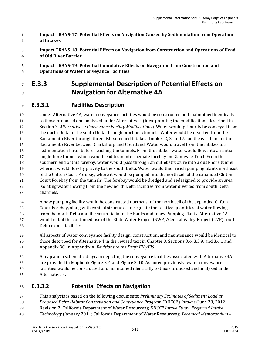- **Impact TRANS-17: Potential Effects on Navigation Caused by Sedimentation from Operation of Intakes**
- **Impact TRANS-18: Potential Effects on Navigation from Construction and Operations of Head of Old River Barrier**
- **Impact TRANS-19: Potential Cumulative Effects on Navigation from Construction and Operations of Water Conveyance Facilities**

# **E.3.3 Supplemental Description of Potential Effects on Navigation for Alternative 4A**

### **E.3.3.1 Facilities Description**

 Under Alternative 4A, water conveyance facilities would be constructed and maintained identically to those proposed and analyzed under Alternative 4 (incorporating the modifications described in Section 3, *Alternative 4: Conveyance Facility Modifications*). Water would primarily be conveyed from the north Delta to the south Delta through pipelines/tunnels. Water would be diverted from the Sacramento River through three fish-screened intakes (Intakes 2, 3, and 5) on the east bank of the Sacramento River between Clarksburg and Courtland. Water would travel from the intakes to a sedimentation basin before reaching the tunnels. From the intakes water would flow into an initial single-bore tunnel, which would lead to an intermediate forebay on Glannvale Tract. From the southern end of this forebay, water would pass through an outlet structure into a dual-bore tunnel where it would flow by gravity to the south Delta. Water would then reach pumping plants northeast of the Clifton Court Forebay, where it would be pumped into the north cell of the expanded Clifton Court Forebay from the tunnels. The forebay would be dredged and redesigned to provide an area isolating water flowing from the new north Delta facilities from water diverted from south Delta channels.

- A new pumping facility would be constructed northeast of the north cell of the expanded Clifton
- Court Forebay, along with control structures to regulate the relative quantities of water flowing from the north Delta and the south Delta to the Banks and Jones Pumping Plants. Alternative 4A would entail the continued use of the State Water Project (SWP)/Central Valley Project (CVP) south Delta export facilities.
- All aspects of water conveyance facility design, construction, and maintenance would be identical to those described for Alternative 4 in the revised text in Chapter 3, Sections 3.4, 3.5.9, and 3.6.1 and Appendix 3C, in Appendix A, *Revisions to the Draft EIR/EIS*.
- A map and a schematic diagram depicting the conveyance facilities associated with Alternative 4A are provided in Mapbook Figure 3-4 and Figure 3-10. As noted previously, water conveyance facilities would be constructed and maintained identically to those proposed and analyzed under Alternative 4.

## **E.3.3.2 Potential Effects on Navigation**

- This analysis is based on the following documents: *Preliminary Estimates of Sediment Load at*
- *Proposed Delta Habitat Conservation and Conveyance Program* (DHCCP) *Intakes* (June 28, 2012;
- Revision 2; California Department of Water Resources); *DHCCP Intake Study: Preferred Intake*
- *Technology* (January 2011; California Department of Water Resources); *Technical Memorandum –*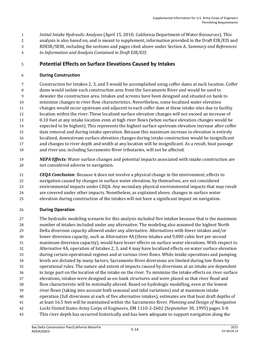*Initial Intake Hydraulic Analyses* (April 15, 2010; California Department of Water Resources). This

- analysis is also based on, and is meant to supplement, information provided in the Draft EIR/EIS and
- RDEIR/SEIR, including the sections and pages cited above under Section A, *Summary and References*
- *to Information and Analysis Contained in Draft EIR/EIS*.

### **Potential Effects on Surface Elevations Caused by Intakes**

#### **During Construction**

 Construction for Intakes 2, 3, and 5 would be accomplished using coffer dams at each location. Coffer dams would isolate each construction area from the Sacramento River and would be used to dewater the construction area. Intakes and screens have been designed and situated on bank to minimize changes to river flow characteristics. Nevertheless, some localized water elevation changes would occur upstream and adjacent to each coffer dam at these intake sites due to facility location within the river. These localized surface elevation changes will not exceed an increase of 0.10 foot at any intake location even at high river flows (when surface elevation changes would be expected to be highest). This represents the highest surface upstream elevation increase after coffer dam removal and during intake operation. Because this maximum increase in elevation is entirely localized, downstream surface elevation changes during intake construction would be insignificant and changes to river depth and width at any location will be insignificant. As a result, boat passage and river use, including Sacramento River tributaries, will not be affected.

- *NEPA Effects:* Water surface changes and potential impacts associated with intake construction are not considered adverse to navigation.
- *CEQA Conclusion:* Because it does not involve a physical change in the environment, effects to
- navigation caused by changes in surface water elevation, by themselves, are not considered environmental impacts under CEQA. Any secondary physical environmental impacts that may result
- are covered under other impacts. Nonetheless, as explained above, changes in surface water
- elevation during construction of the intakes will not have a significant impact on navigation.

#### **During Operation**

 The hydraulic modeling scenario for this analysis included five intakes because that is the maximum number of intakes included under any alternative. The modeling also assumed the highest North Delta diversion capacity allowed under any alternative. Alternatives with fewer intakes and/or lower diversion capacity, such as Alternative 4A (three intakes and 9,000 cubic feet per second maximum diversion capacity), would have lesser effects on surface water elevations. With respect to Alternative 4A, operation of Intakes 2, 3, and 4 may have localized effects on water surface elevation during certain operational regimes and at various river flows. While intake operations and pumping levels are dictated by many factors, Sacramento River diversions are limited during low flows by operational rules. The nature and extent of impacts caused by diversions at an intake are dependent in large part on the location of the intake on the river. To minimize the intake effects on river surface elevations, intakes were designed as on-bank structures and were placed so that river flood and flow characteristic will be minimally altered. Based on hydrologic modelling, even at the lowest river flows (taking into account both seasonal and tidal variations) and at maximum intake operation (full diversions at each of five alternative intakes), estimates are that boat draft depths of at least 16.5 feet will be maintained within the Sacramento River. *Planning and Design of Navigation Locks* United States Army Corps of Engineers, EM 1110-2-2602 (September 30, 1995) pages 3-8. This river depth has occurred historically and has been adequate to support navigation along the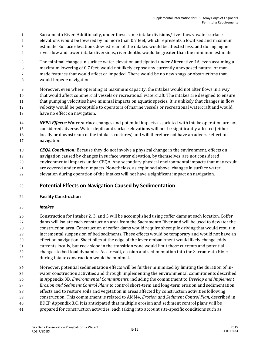- Sacramento River. Additionally, under these same intake divisions/river flows, water surface
- elevations would be lowered by no more than 0.7 feet, which represents a localized and maximum
- estimate. Surface elevations downstream of the intakes would be affected less, and during higher
- river flow and lower intake diversions, river depths would be greater than the minimum estimate.
- The minimal changes in surface water elevation anticipated under Alternative 4A, even assuming a maximum lowering of 0.7 feet, would not likely expose any currently unexposed natural or man- made features that would affect or impeded. There would be no new snags or obstructions that would impede navigation.
- Moreover, even when operating at maximum capacity, the intakes would not alter flows in a way that would affect commercial vessels or recreational watercraft. The intakes are designed to ensure that pumping velocities have minimal impacts on aquatic species. It is unlikely that changes in flow velocity would be perceptible to operators of marine vessels or recreational watercraft and would have no effect on navigation.
- *NEPA Effects:* Water surface changes and potential impacts associated with intake operation are not considered adverse. Water depth and surface elevations will not be significantly affected (either locally or downstream of the intake structures) and will therefore not have an adverse effect on navigation.
- *CEQA Conclusion:* Because they do not involve a physical change in the environment, effects on navigation caused by changes in surface water elevation, by themselves, are not considered environmental impacts under CEQA. Any secondary physical environmental impacts that may result are covered under other impacts. Nonetheless, as explained above, changes in surface water elevation during operation of the intakes will not have a significant impact on navigation.

#### **Potential Effects on Navigation Caused by Sedimentation**

#### **Facility Construction**

#### *Intakes*

 Construction for Intakes 2, 3, and 5 will be accomplished using coffer dams at each location. Coffer dams will isolate each construction area from the Sacramento River and will be used to dewater the construction area. Construction of coffer dams would require sheet pile driving that would result in incremental suspension of bed sediments. These effects would be temporary and would not have an effect on navigation. Sheet piles at the edge of the levee embankment would likely change eddy currents locally, but rock slope in the transition zone would limit those currents and potential changes to bed load dynamics. As a result, erosion and sedimentation into the Sacramento River during intake construction would be minimal.

 Moreover, potential sedimentation effects will be further minimized by limiting the duration of in- water construction activities and through implementing the environmental commitments described in Appendix 3B, *Environmental Commitments,* including the commitment to *Develop and Implement Erosion and Sediment Control Plans* to control short-term and long-term erosion and sedimentation effects and to restore soils and vegetation in areas affected by construction activities following construction. This commitment is related to AMM4, *Erosion and Sediment Control Plan*, described in BDCP Appendix 3.C. It is anticipated that multiple erosion and sediment control plans will be prepared for construction activities, each taking into account site-specific conditions such as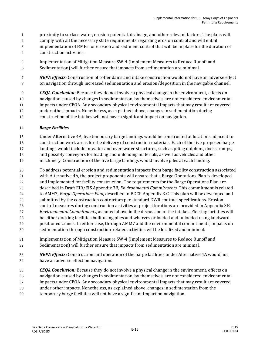- proximity to surface water, erosion potential, drainage, and other relevant factors. The plans will
- comply with all the necessary state requirements regarding erosion control and will entail
- implementation of BMPs for erosion and sediment control that will be in place for the duration of
- construction activities.
- Implementation of Mitigation Measure SW-4 (Implement Measures to Reduce Runoff and Sedimentation) will further ensure that impacts from sedimentation are minimal.
- *NEPA Effects:* Construction of coffer dams and intake construction would not have an adverse effect on navigation through increased sedimentation and erosion/deposition in the navigable channel.

 *CEQA Conclusion:* Because they do not involve a physical change in the environment, effects on navigation caused by changes in sedimentation, by themselves, are not considered environmental impacts under CEQA. Any secondary physical environmental impacts that may result are covered under other impacts. Nonetheless, as explained above, changes in sedimentation during construction of the intakes will not have a significant impact on navigation.

#### *Barge Facilities*

- Under Alternative 4A, five temporary barge landings would be constructed at locations adjacent to
- construction work areas for the delivery of construction materials. Each of the five proposed barge
- landings would include in-water and over-water structures, such as piling dolphins, docks, ramps,
- and possibly conveyors for loading and unloading materials, as well as vehicles and other
- machinery. Construction of the five barge landings would involve piles at each landing.
- To address potential erosion and sedimentation impacts from barge facility construction associated with Alternative 4A, the project proponents will ensure that a Barge Operations Plan is developed and implemented for facility construction. The requirements for the Barge Operations Plan are described in Draft EIR/EIS Appendix 3B, *Environmental Commitments*. This commitment is related to AMM7, *Barge Operations Plan*, described in BDCP Appendix 3.C. This plan will be developed and submitted by the construction contractors per standard DWR contract specifications. Erosion
- control measures during construction activities at project locations are provided in Appendix 3B,
- *Environmental Commitments*, as noted above in the discussion of the intakes. Fleeting facilities will be either docking facilities built using piles and wharves or loaded and unloaded using landward
- positioned cranes. In either case, through AMM7 and the environmental commitments, impacts on
- sedimentation through construction-related activities will be localized and minimal.
- Implementation of Mitigation Measure SW-4 (Implement Measures to Reduce Runoff and Sedimentation) will further ensure that impacts from sedimentation are minimal.
- *NEPA Effects:* Construction and operation of the barge facilities under Alternative 4A would not have an adverse effect on navigation.
- *CEQA Conclusion:* Because they do not involve a physical change in the environment, effects on navigation caused by changes in sedimentation, by themselves, are not considered environmental impacts under CEQA. Any secondary physical environmental impacts that may result are covered under other impacts. Nonetheless, as explained above, changes in sedimentation from the temporary barge facilities will not have a significant impact on navigation.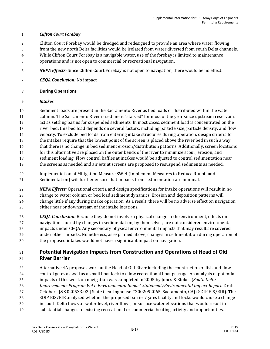#### *Clifton Court Forebay*

- Clifton Court Forebay would be dredged and redesigned to provide an area where water flowing
- from the new north Delta facilities would be isolated from water diverted from south Delta channels.
- While Clifton Court Forebay is a navigable water, use of the forebay is limited to maintenance
- operations and is not open to commercial or recreational navigation.
- *NEPA Effects:* Since Clifton Court Forebay is not open to navigation, there would be no effect.
- *CEQA Conclusion:* No impact.

#### **During Operations**

#### *Intakes*

- Sediment loads are present in the Sacramento River as bed loads or distributed within the water
- column. The Sacramento River is sediment "starved" for most of the year since upstream reservoirs
- act as settling basins for suspended sediments. In most cases, sediment load is concentrated on the
- river bed; this bed load depends on several factors, including particle size, particle density, and flow
- velocity. To exclude bed loads from entering intake structures during operation, design criteria for
- the intakes require that the lowest point of the screen is placed above the river bed in such a way
- that there is no change in bed sediment erosion/distribution patterns. Additionally, screen locations
- for this alternative are placed on the outer bends of the river to minimize scour, erosion, and
- sediment loading. Flow control baffles at intakes would be adjusted to control sedimentation near the screens as needed and air jets at screens are proposed to resuspend sediments as needed.
- Implementation of Mitigation Measure SW-4 (Implement Measures to Reduce Runoff and Sedimentation) will further ensure that impacts from sedimentation are minimal.
- *NEPA Effects:* Operational criteria and design specifications for intake operations will result in no change to water column or bed load sediment dynamics. Erosion and deposition patterns will change little if any during intake operation. As a result, there will be no adverse effect on navigation either near or downstream of the intake locations.
- *CEQA Conclusion:* Because they do not involve a physical change in the environment, effects on navigation caused by changes in sedimentation, by themselves, are not considered environmental impacts under CEQA. Any secondary physical environmental impacts that may result are covered under other impacts. Nonetheless, as explained above, changes in sedimentation during operation of the proposed intakes would not have a significant impact on navigation.

#### **Potential Navigation Impacts from Construction and Operations of Head of Old River Barrier**

- Alternative 4A proposes work at the Head of Old River including the construction of fish and flow control gates as well as a small boat lock to allow recreational boat passage. An analysis of potential impacts of this work on navigation was completed in 2005 by Jones & Stokes (*South Delta Improvements Program Vol I: Environmental Impact Statement/Environmental Impact Report*. Draft. October. [J&S 020533.02.] State Clearinghouse #2002092065. Sacramento, CA) (SDIP EIS/EIR). The SDIP EIS/EIR analyzed whether the proposed barrier/gates facility and locks would cause a change in south Delta flows or water level, river flows, or surface water elevations that would result in substantial changes to existing recreational or commercial boating activity and opportunities.
	- Bay Delta Conservation Plan/California WaterFix RDEIR/SDEIS E-17 <sup>2015</sup>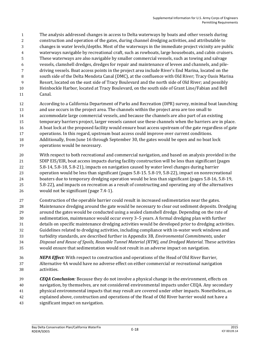- The analysis addressed changes in access to Delta waterways by boats and other vessels during
- construction and operation of the gates, during channel dredging activities, and attributable to
- changes in water levels/depths. Most of the waterways in the immediate project vicinity are public
- waterways navigable by recreational craft, such as rowboats, large houseboats, and cabin cruisers.
- These waterways are also navigable by smaller commercial vessels, such as towing and salvage
- vessels, clamshell dredges, dredges for repair and maintenance of levees and channels, and pile-driving vessels. Boat access points in the project area include River's End Marina, located on the
- 8 south side of the Delta Mendota Canal (DMC), at the confluence with Old River; Tracy Oasis Marina
- Resort, located on the east side of Tracy Boulevard and the north side of Old River; and possibly
- Heinbockle Harbor, located at Tracy Boulevard, on the south side of Grant Line/Fabian and Bell
- Canal.
- According to a California Department of Parks and Recreation (DPR) survey, minimal boat launching and use occurs in the project area. The channels within the project area are too small to
- accommodate large commercial vessels, and because the channels are also part of an existing
- temporary barriers project, larger vessels cannot use these channels when the barriers are in place.
- A boat lock at the proposed facility would ensure boat access upstream of the gate regardless of gate
- operations. In this regard, upstream boat access could improve over current conditions.
- Additionally, from June 16 through September 30, the gates would be open and no boat lock
- operations would be necessary.
- With respect to both recreational and commercial navigation, and based on analysis provided in the SDIP EIS/EIR, boat access impacts during facility construction will be less than significant (pages 5.8-14, 5.8-18, 5.8-21), impacts on navigation caused by water level changes during barrier operation would be less than significant (pages 5.8-15. 5.8-19, 5.8-22), impact on nonrecreational boaters due to temporary dredging operation would be less than significant (pages 5.8-16, 5.8-19, 5.8-22), and impacts on recreation as a result of constructing and operating any of the alternatives would not be significant (page 7.4-1).
- Construction of the operable barrier could result in increased sedimentation near the gates. Maintenance dredging around the gate would be necessary to clear out sediment deposits. Dredging around the gates would be conducted using a sealed clamshell dredge. Depending on the rate of sedimentation, maintenance would occur every 3–5 years. A formal dredging plan with further details on specific maintenance dredging activities would be developed prior to dredging activities. Guidelines related to dredging activities, including compliance with in-water work windows and turbidity standards, are described further in Appendix 3B, *Environmental Commitments*, under *Disposal and Reuse of Spoils, Reusable Tunnel Material (RTM), and Dredged Material*. These activities would ensure that sedimentation would not result in an adverse impact on navigation.
- *NEPA Effect:* With respect to construction and operations of the Head of Old River Barrier, Alternative 4A would have no adverse effect on either commercial or recreational navigation activities.
- *CEQA Conclusion:* Because they do not involve a physical change in the environment, effects on navigation, by themselves, are not considered environmental impacts under CEQA. Any secondary physical environmental impacts that may result are covered under other impacts. Nonetheless, as explained above, construction and operations of the Head of Old River barrier would not have a
- significant impact on navigation.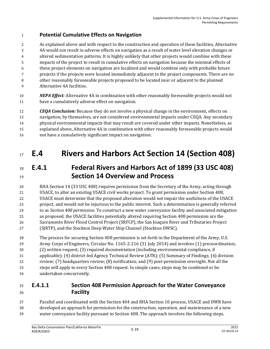### **Potential Cumulative Effects on Navigation**

 As explained above and with respect to the construction and operation of these facilities, Alternative 4A would not result in adverse effects on navigation as a result of water level elevation changes or altered sedimentation patterns. It is highly unlikely that other projects would combine with these impacts of the project to result in cumulative effects on navigation because the minimal effects of these project elements on navigation are localized and would combine only with probable future projects if the projects were located immediately adjacent to the project components. There are no other reasonably foreseeable projects proposed to be located near or adjacent to the planned Alternative 4A facilities.

 *NEPA Effect:* Alternative 4A in combination with other reasonably foreseeable projects would not have a cumulatively adverse effect on navigation.

 *CEQA Conclusion:* Because they do not involve a physical change in the environment, effects on navigation, by themselves, are not considered environmental impacts under CEQA. Any secondary physical environmental impacts that may result are covered under other impacts. Nonetheless, as explained above, Alternative 4A in combination with other reasonably foreseeable projects would not have a cumulatively significant impact on navigation.

# **E.4 Rivers and Harbors Act Section 14 (Section 408)**

# **E.4.1 Federal Rivers and Harbors Act of 1899 (33 USC 408) Section 14 Overview and Process**

 RHA Section 14 (33 USC 408) requires permission from the Secretary of the Army, acting through USACE, to alter an existing USACE civil works project. To grant permission under Section 408, USACE must determine that the proposed alteration would not impair the usefulness of the USACE project, and would not be injurious to the public interest. Such a determination is generally referred to as *Section 408 permission*. To construct a new water conveyance facility and associated mitigation as proposed, the USACE facilities potentially altered requiring Section 408 permission are the Sacramento River Flood Control Project (SRFCP), the San Joaquin River and Tributaries Project (SJRTP), and the Stockton Deep Water Ship Channel (Stockton DWSC).

 The process for securing Section 408 permission is set forth in the Department of the Army, U.S. Army Corps of Engineers, Circular No. 1165-2-216 (31 July 2014) and involves (1) precoordination; (2) written request; (3) required documentation (including environmental compliance, if applicable); (4) district-led Agency Technical Review (ATR); (5) Summary of Findings; (6) division review; (7) headquarters review; (8) notification; and (9) post-permission oversight. Not all the

 steps will apply to every Section 408 request. In simple cases, steps may be combined or be undertaken concurrently.

## **E.4.1.1 Section 408 Permission Approach for the Water Conveyance Facility**

 Parallel and coordinated with the Section 404 and RHA Section 10 process, USACE and DWR have developed an approach for permission for the construction, operation, and maintenance of a new water conveyance facility pursuant to Section 408. The approach involves the following steps.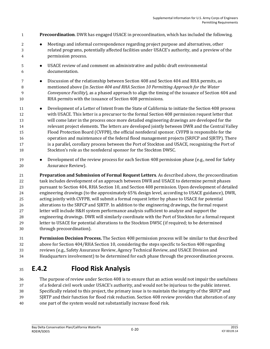- **Precoordination**. DWR has engaged USACE in precoordination, which has included the following.
- **Meetings and informal correspondence regarding project purpose and alternatives, other**  related programs, potentially affected facilities under USACE's authority, and a preview of the permission process.
- USACE review of and comment on administrative and public draft environmental documentation.
- Discussion of the relationship between Section 408 and Section 404 and RHA permits, as mentioned above (in *Section 404 and RHA Section 10 Permitting Approach for the Water Conveyance Facility*), as a phased approach to align the timing of the issuance of Section 404 and RHA permits with the issuance of Section 408 permissions.
- **Development of a Letter of Intent from the State of California to initiate the Section 408 process**  with USACE. This letter is a precursor to the formal Section 408 permission request letter that will come later in the process once more detailed engineering drawings are developed for the relevant project elements. The letters are developed jointly between DWR and the Central Valley Flood Protection Board (CVFPB), the official nonfederal sponsor. CVFPB is responsible for the operation and maintenance of the federal flood management projects (SRFCP and SJRTP). There is a parallel, corollary process between the Port of Stockton and USACE, recognizing the Port of Stockton's role as the nonfederal sponsor for the Stockton DWSC.
- **Development of the review process for each Section 408 permission phase (e.g., need for Safety** Assurance Review).
- **Preparation and Submission of Formal Request Letters**. As described above, the precoordination task includes development of an approach between DWR and USACE to determine permit phases pursuant to Section 404, RHA Section 10, and Section 408 permission. Upon development of detailed engineering drawings (to the approximately 65% design level, according to USACE guidance), DWR, acting jointly with CVFPB, will submit a formal request letter by phase to USACE for potential alterations to the SRFCP and SJRTP. In addition to the engineering drawings, the formal request letter will include H&H system performance analysis sufficient to analyze and support the engineering drawings. DWR will similarly coordinate with the Port of Stockton for a formal request letter to USACE for potential alterations to the Stockton DWSC (if required; to be determined through precoordination).
- **Permission Decision Process.** The Section 408 permission process will be similar to that described above for Section 404/RHA Section 10, considering the steps specific to Section 408 regarding reviews (e.g., Safety Assurance Review, Agency Technical Review, and USACE Division and
- Headquarters involvement) to be determined for each phase through the precoordination process.

## **E.4.2 Flood Risk Analysis**

 The purpose of review under Section 408 is to ensure that an action would not impair the usefulness of a federal civil work under USACE's authority, and would not be injurious to the public interest. Specifically related to this project, the primary issue is to maintain the integrity of the SRFCP and SJRTP and their function for flood risk reduction. Section 408 review provides that alteration of any

one part of the system would not substantially increase flood risk.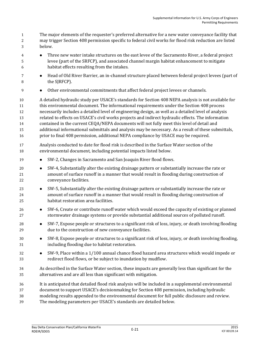The major elements of the requester's preferred alternative for a new water conveyance facility that may trigger Section 408 permission specific to federal civil works for flood risk reduction are listed below.

- Three new water intake structures on the east levee of the Sacramento River, a federal project levee (part of the SRFCP), and associated channel margin habitat enhancement to mitigate habitat effects resulting from the intakes.
- 7 **••** Head of Old River Barrier, an in-channel structure placed between federal project levees (part of 8 the SJRFCP).
- **Other environmental commitments that affect federal project levees or channels.**

 A detailed hydraulic study per USACE's standards for Section 408 NEPA analysis is not available for this environmental document. The informational requirements under the Section 408 process necessarily includes a detailed level of engineering design, as well as a detailed level of analysis related to effects on USACE's civil works projects and indirect hydraulic effects. The information contained in the current CEQA/NEPA documents will not fully meet this level of detail and additional informational submittals and analysis may be necessary. As a result of these submittals, prior to final 408 permission, additional NEPA compliance by USACE may be required.

- Analysis conducted to date for flood risk is described in the Surface Water section of the environmental document, including potential impacts listed below.
- 19 SW-2, Changes in Sacramento and San Joaquin River flood flows.
- SW-4, Substantially alter the existing drainage pattern or substantially increase the rate or amount of surface runoff in a manner that would result in flooding during construction of conveyance facilities.
- **SW-5, Substantially alter the existing drainage pattern or substantially increase the rate or**  amount of surface runoff in a manner that would result in flooding during construction of habitat restoration area facilities.
- 26 SW-6, Create or contribute runoff water which would exceed the capacity of existing or planned stormwater drainage systems or provide substantial additional sources of polluted runoff.
- SW-7, Expose people or structures to a significant risk of loss, injury, or death involving flooding due to the construction of new conveyance facilities.
- SW-8, Expose people or structures to a significant risk of loss, injury, or death involving flooding, including flooding due to habitat restoration.
- SW-9, Place within a 1/100 annual chance flood hazard area structures which would impede or redirect flood flows, or be subject to inundation by mudflow.
- As described in the Surface Water section, these impacts are generally less than significant for the alternatives and are all less than significant with mitigation.
- It is anticipated that detailed flood risk analysis will be included in a supplemental environmental
- document to support USACE's decisionmaking for Section 408 permission, including hydraulic
- modeling results appended to the environmental document for full public disclosure and review.
- The modeling parameters per USACE's standards are detailed below.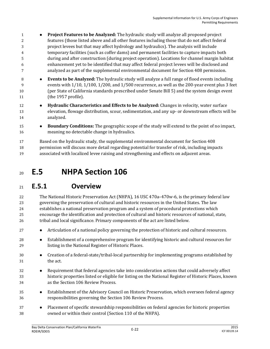- **Project Features to be Analyzed:** The hydraulic study will analyze all proposed project features (those listed above and all other features including those that do not affect federal project levees but that may affect hydrology and hydraulics). The analysis will include temporary facilities (such as coffer dams) and permanent facilities to capture impacts both during and after construction (during project operation). Locations for channel margin habitat enhancement yet to be identified that may affect federal project levees will be disclosed and analyzed as part of the supplemental environmental document for Section 408 permission.
- **Events to be Analyzed:** The hydraulic study will analyze a full range of flood events including events with 1/10, 1/100, 1/200, and 1/500 recurrence, as well as the 200-year event plus 3 feet (per State of California standards prescribed under Senate Bill 5) and the system design event (the 1957 profile).
- **Hydraulic Characteristics and Effects to be Analyzed:** Changes in velocity, water surface elevation, flowage distribution, scour, sedimentation, and any up- or downstream effects will be analyzed.
- **Boundary Conditions:** The geographic scope of the study will extend to the point of no impact, meaning no detectable change in hydraulics.

 Based on the hydraulic study, the supplemental environmental document for Section 408 permission will discuss more detail regarding potential for transfer of risk, including impacts associated with localized levee raising and strengthening and effects on adjacent areas.

# **E.5 NHPA Section 106**

## **E.5.1 Overview**

 The National Historic Preservation Act (NHPA), 16 USC 470a–470w-6, is the primary federal law governing the preservation of cultural and historic resources in the United States. The law establishes a national preservation program and a system of procedural protections which encourage the identification and protection of cultural and historic resources of national, state, 26 tribal and local significance. Primary components of the act are listed below.

- **•** Articulation of a national policy governing the protection of historic and cultural resources.
- Establishment of a comprehensive program for identifying historic and cultural resources for listing in the National Register of Historic Places.
- Creation of a federal-state/tribal-local partnership for implementing programs established by the act.
- Requirement that federal agencies take into consideration actions that could adversely affect historic properties listed or eligible for listing on the National Register of Historic Places, known as the Section 106 Review Process.
- Establishment of the Advisory Council on Historic Preservation, which oversees federal agency responsibilities governing the Section 106 Review Process.
- **•** Placement of specific stewardship responsibilities on federal agencies for historic properties owned or within their control (Section 110 of the NHPA).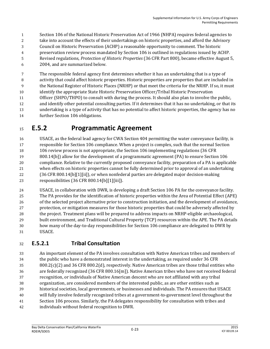- Section 106 of the National Historic Preservation Act of 1966 (NHPA) requires federal agencies to
- take into account the effects of their undertakings on historic properties, and afford the Advisory
- Council on Historic Preservation (ACHP) a reasonable opportunity to comment. The historic
- preservation review process mandated by Section 106 is outlined in regulations issued by ACHP.
- Revised regulations, *Protection of Historic Properties* (36 CFR Part 800), became effective August 5,
- 2004, and are summarized below.

 The responsible federal agency first determines whether it has an undertaking that is a type of activity that could affect historic properties. Historic properties are properties that are included in the National Register of Historic Places (NRHP) or that meet the criteria for the NRHP. If so, it must identify the appropriate State Historic Preservation Officer/Tribal Historic Preservation

Officer (SHPO/THPO) to consult with during the process. It should also plan to involve the public,

- and identify other potential consulting parties. If it determines that it has no undertaking, or that its undertaking is a type of activity that has no potential to affect historic properties, the agency has no
- further Section 106 obligations.

## **E.5.2 Programmatic Agreement**

 USACE, as the federal lead agency for CWA Section 404 permitting the water conveyance facility, is responsible for Section 106 compliance. When a project is complex, such that the normal Section 106 review process is not appropriate, the Section 106 implementing regulations (36 CFR

- 800.14[b]) allow for the development of a programmatic agreement (PA) to ensure Section 106 compliance. Relative to the currently proposed conveyance facility, preparation of a PA is applicable when effects on historic properties cannot be fully determined prior to approval of an undertaking (36 CFR 800.14[b][1][ii]), or when nonfederal parties are delegated major decision-making responsibilities (36 CFR 800.14[b][1][iii]).
- USACE, in collaboration with DWR, is developing a draft Section 106 PA for the conveyance facility. The PA provides for the identification of historic properties within the Area of Potential Effect (APE) of the selected project alternative prior to construction initiation, and the development of avoidance, protection, or mitigation measures for those historic properties that could be adversely affected by the project. Treatment plans will be prepared to address impacts on NRHP-eligible archaeological, built environment, and Traditional Cultural Property (TCP) resources within the APE. The PA details how many of the day-to-day responsibilities for Section 106 compliance are delegated to DWR by USACE.

## **E.5.2.1 Tribal Consultation**

 An important element of the PA involves consultation with Native American tribes and members of the public who have a demonstrated interest in the undertaking, as required under 36 CFR 800.2(c)(2) and 36 CFR 800.2(d), respectively. Native American tribes are those tribal entities who are federally recognized (36 CFR 800.16[m]). Native American tribes who have not received federal recognition, or individuals of Native American descent who are not affiliated with any tribal organization, are considered members of the interested public, as are other entities such as historical societies, local governments, or businesses and individuals. The PA ensures that USACE will fully involve federally recognized tribes at a government-to-government level throughout the Section 106 process. Similarly, the PA delegates responsibility for consultation with tribes and individuals without federal recognition to DWR.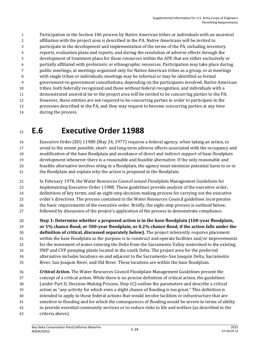Participation in the Section 106 process by Native American tribes or individuals with an ancestral affiliation with the project area is described in the PA. Native Americans will be invited to participate in the development and implementation of the terms of the PA, including inventory reports, evaluation plans and reports, and during the resolution of adverse effects through the development of treatment plans for those resources within the APE that are either exclusively or partially affiliated with prehistoric or ethnographic resources. Participation may take place during public meetings, at meetings organized only for Native American tribes as a group, or at meetings with single tribes or individuals; meetings may be informal or may be identified as formal government-to-government consultations, depending on the participants involved. Native American tribes, both federally recognized and those without federal recognition, and individuals with a demonstrated ancestral tie to the project area will be invited to be concurring parties to the PA. However, these entities are not required to be concurring parties in order to participate in the processes described in the PA, and they may request to become concurring parties at any time during the process.

# **E.6 Executive Order 11988**

 Executive Order (EO) 11988 (May 24, 1977) requires a federal agency, when taking an action, to avoid to the extent possible, short- and long-term adverse effects associated with the occupancy and modification of the base floodplain and avoidance of direct and indirect support of base floodplain development whenever there is a reasonable and feasible alternative. If the only reasonable and feasible alternative involves siting in a floodplain, the agency must minimize potential harm to or in the floodplain and explain why the action is proposed in the floodplain.

 In February 1978, the Water Resources Council issued Floodplain Management Guidelines for Implementing Executive Order 11988. These guidelines provide analysis of the executive order, definitions of key terms, and an eight-step decision-making process for carrying out the executive order's directives. The process contained in the Water Resources Council guidelines incorporates the basic requirements of the executive order. Briefly, the eight-step process is outlined below, followed by discussion of the project's application of the process to demonstrate compliance.

 **Step 1: Determine whether a proposed action is in the base floodplain (100-year floodplain, or 1% chance flood, or 500-year floodplain, or 0.2% chance flood, if the action falls under the definition of critical, discussed separately below).** The project inherently requires placement within the base floodplain as the purpose is to construct and operate facilities and/or improvements for the movement of water entering the Delta from the Sacramento Valley watershed to the existing SWP and CVP pumping plants located in the south Delta. The project area for the preferred alternative includes locations on and adjacent to the Sacramento–San Joaquin Delta, Sacramento River, San Joaquin River, and Old River. These locations are within the base floodplain.

 *Critical Action.* The Water Resources Council Floodplain Management Guidelines present the concept of a critical action. While there is no precise definition of critical action, the guidelines (under Part II, Decision-Making Process, Step 1C) outline the parameters and describe a critical action as "any activity for which even a slight chance of flooding is too great." This definition is intended to apply to those federal actions that would involve facilities or infrastructure that are sensitive to flooding and for which the consequences of flooding would be severe in terms of ability to provide essential community services or to reduce risks to life and welfare (as described in the criteria above).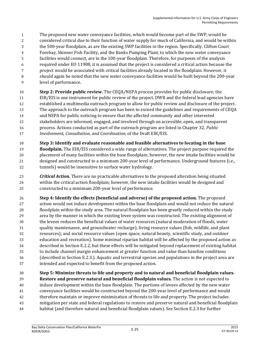- The proposed new water conveyance facilities, which would become part of the SWP, would be
- considered critical due to their function of water supply for much of California, and would be within
- the 500-year floodplain, as are the existing SWP facilities in the region. Specifically, Clifton Court
- Forebay, Skinner Fish Facility, and the Banks Pumping Plant, to which the new water conveyance
- facilities would connect, are in the 100-year floodplain. Therefore, for purposes of the analysis
- required under EO 11988, it is assumed that the project is considered a critical action because the
- project would be associated with critical facilities already located in the floodplain. However, it should again be noted that the new water conveyance facilities would be built beyond the 200-year
- level of performance.
- **Step 2: Provide public review.** The CEQA/NEPA process provides for public disclosure; the EIR/EIS is one instrument for public review of the project. DWR and the federal lead agencies have established a multimedia outreach program to allow for public review and disclosure of the project. The approach to the outreach program has been to exceed the guidelines and requirements of CEQA and NEPA for public noticing to ensure that the affected community and other interested stakeholders are informed, engaged, and involved through an accessible, open, and transparent process. Actions conducted as part of the outreach program are listed in Chapter 32, *Public Involvement, Consultation, and Coordination*, of the Draft EIR/EIS.
- **Step 3: Identify and evaluate reasonable and feasible alternatives to locating in the base**
- **floodplain.** The EIR/EIS considered a wide range of alternatives. The project purpose required the placement of many facilities within the base floodplain; however, the new intake facilities would be designed and constructed to a minimum 200-year level of performance. Underground features (i.e., tunnels) would be insensitive to surface water hydrology.
- *Critical Action.* There are no practicable alternatives to the proposed alteration being situated within the critical action floodplain; however, the new intake facilities would be designed and constructed to a minimum 200-year level of performance.
- **Step 4: Identify the effects (beneficial and adverse) of the proposed action.** The proposed action would not induce development within the base floodplain and would not reduce the natural floodplain within the study area. The natural floodplain has been greatly reduced within the study area by the manner in which the existing levee system was constructed. The existing alignment of the levees reduces the beneficial values of water resources (natural moderation of floods, water quality maintenance, and groundwater recharge); living resource values (fish, wildlife, and plant resources); and social resource values (open space, natural beauty, scientific study, and outdoor education and recreation). Some minimal riparian habitat will be affected by the proposed action as described in Section E.2.2, but these effects will be mitigated beyond replacement of existing habitat to include channel margin enhancement at greater function and value than baseline conditions (described in Section E.2.3.). Aquatic and terrestrial species and populations in the project area are intended and expected to benefit from the proposed action.
- **Step 5: Minimize threats to life and property and to natural and beneficial floodplain values. Restore and preserve natural and beneficial floodplain values***.* The action is not expected to
- induce development within the base floodplain. The portions of levees affected by the new water
- conveyance facilities would be constructed beyond the 200-year level of performance and would
- therefore maintain or improve minimization of threats to life and property. The project includes
- mitigation per state and federal regulations to restore and preserve natural and beneficial floodplain
- habitat (and therefore natural and beneficial floodplain values). See Section E.2.3 for further